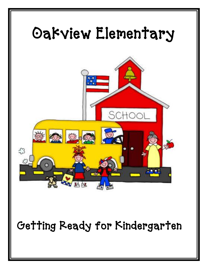

Getting Ready for Kindergarten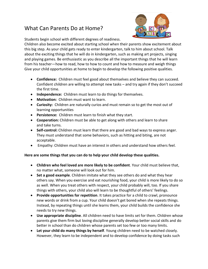## What Can Parents Do at Home?



Students begin school with different degrees of readiness.

Children also become excited about starting school when their parents show excitement about this big step. As your child gets ready to enter kindergarten, talk to him about school. Talk about the exciting things that he will do in kindergarten, such as making art projects, singing and playing games. Be enthusiastic as you describe all the important things that he will learn from his teacher—how to read, how to how to count and how to measure and weigh things Give your child opportunities at home to begin to develop the following positive qualities.

- **Confidence:** Children must feel good about themselves and believe they can succeed. Confident children are willing to attempt new tasks – and try again if they don't succeed the first time.
- **Independence:** Children must learn to do things for themselves.
- **Motivation:** Children must want to learn.
- **Curiosity:** Children are naturally curios and must remain so to get the most out of learning opportunities
- **Persistence:** Children must learn to finish what they start.
- **Cooperation:** Children must be able to get along with others and learn to share and take turns.
- **Self-control:** Children must learn that there are good and bad ways to express anger. They must understand that some behaviors, such as hitting and biting, are not acceptable.
- Empathy: Children must have an interest in others and understand how others feel.

#### **Here are some things that you can do to help your child develop these qualities.**

- **Children who feel loved are more likely to be confident**. Your child must believe that, no matter what, someone will look out for him.
- **Set a good example**. Children imitate what they see others do and what they hear others say. When you exercise and eat nourishing food, your child is more likely to do so as well. When you treat others with respect, your child probably will, too. If you share things with others, your child also will learn to be thoughtful of others' feelings.
- **Provide opportunities for repetition**. It takes practice for a child to crawl, pronounce new words or drink from a cup. Your child doesn't get bored when she repeats things. Instead, by repeating things until she learns them, your child builds the confidence she needs to try new things.
- **Use appropriate discipline**. All children need to have limits set for them. Children whose parents give them firm but loving discipline generally develop better social skills and do better in school than do children whose parents set too few or too many limits.
- **Let your child do many things by herself**. Young children need to be watched closely. However, they learn to be independent and to develop confidence by doing tasks such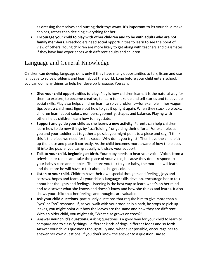as dressing themselves and putting their toys away. It's important to let your child make choices, rather than deciding everything for her.

 **Encourage your child to play with other children and to be with adults who are not family members.** Preschoolers need social opportunities to learn to see the point of view of others. Young children are more likely to get along with teachers and classmates if they have had experiences with different adults and children.

# Language and General Knowledge

Children can develop language skills only if they have many opportunities to talk, listen and use language to solve problems and learn about the world. Long before your child enters school, you can do many things to help her develop language. You can:

- **Give your child opportunities to play.** Play is how children learn. It is the natural way for them to explore, to become creative, to learn to make up and tell stories and to develop social skills. Play also helps children learn to solve problems—for example, if her wagon tips over, a child must figure out how to get it upright again. When they stack up blocks, children learn about colors, numbers, geometry, shapes and balance. Playing with others helps children learn how to negotiate.
- **Support and guide your child as she learns a new activity**. Parents can help children learn how to do new things by "scaffolding," or guiding their efforts. For example, as you and your toddler put together a puzzle, you might point to a piece and say, "I think this is the piece we need for this space. Why don't you try it?" Then have the child pick up the piece and place it correctly. As the child becomes more aware of how the pieces fit into the puzzle, you can gradually withdraw your support.
- **Talk to your child, beginning at birth**. Your baby needs to hear your voice. Voices from a television or radio can't take the place of your voice, because they don't respond to your baby's coos and babbles. The more you talk to your baby, the more he will learn and the more he will have to talk about as he gets older.
- **Listen to your child**. Children have their own special thoughts and feelings, joys and sorrows, hopes and fears. As your child's language skills develop, encourage her to talk about her thoughts and feelings. Listening is the best way to learn what's on her mind and to discover what she knows and doesn't know and how she thinks and learns. It also shows your child that her feelings and thoughts are valuable.
- **Ask your child questions**, particularly questions that require him to give more than a "yes" or "no" response. If, as you walk with your toddler in a park, he stops to pick up leaves, you might point out how the leaves are the same and how they are different. With an older child, you might ask, "What else grows on trees?"
- **Answer your child's questions.** Asking questions is a good way for your child to learn to compare and to classify things—different kinds of dogs, different foods and so forth. Answer your child's questions thoughtfully and, whenever possible, encourage her to answer her own questions. If you don't know the answer to a question, say so.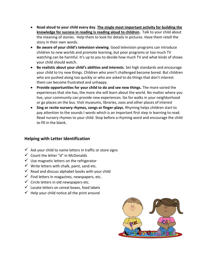- **Read aloud to your child every day**. **The single most important activity for building the knowledge for success in reading is reading aloud to children.** Talk to your child about the meaning of stories. Help them to look for details in pictures. Have them retell the story in their own words.
- **Be aware of your child's television viewing**. Good television programs can introduce children to new worlds and promote learning, but poor programs or too much TV watching can be harmful. It's up to you to decide how much TV and what kinds of shows your child should watch.
- **Be realistic about your child's abilities and interests**. Set high standards and encourage your child to try new things. Children who aren't challenged become bored. But children who are pushed along too quickly or who are asked to do things that don't interest them can become frustrated and unhappy.
- **Provide opportunities for your child to do and see new things.** The more varied the experiences that she has, the more she will learn about the world. No matter where you live, your community can provide new experiences. Go for walks in your neighborhood or go places on the bus. Visit museums, libraries, zoos and other places of interest
- **Sing or recite nursery rhymes, songs or finger-plays.** Rhyming helps children start to pay attention to the sounds I words which is an important first step in learning to read. Read nursery rhymes to your child. Stop before a rhyming word and encourage the child to fill in the blank.

#### **Helping with Letter Identification**

- $\checkmark$  Ask your child to name letters in traffic or store signs
- $\checkmark$  Count the letter "d" in McDonalds
- $\checkmark$  Use magnetic letters on the refrigerator
- $\checkmark$  Write letters with chalk, paint, sand etc.
- $\checkmark$  Read and discuss alphabet books with your child
- $\checkmark$  Find letters in magazines, newspapers, etc.
- $\checkmark$  Circle letters in old newspapers etc.
- $\checkmark$  Locate letters on cereal boxes, food labels
- $\checkmark$  Help your child notice all the print around

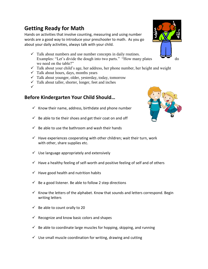# **Getting Ready for Math**

Hands on activities that involve counting, measuring and using number words are a good way to introduce your preschooler to math. As you go about your daily activities, always talk with your child.

- $\checkmark$  Talk about numbers and use number concepts in daily routines. Examples: "Let's divide the dough into two parts." "How many plates  $\bullet$   $\bullet$  do we need on the table?"
- $\checkmark$  Talk about your child's age, her address, her phone number, her height and weight
- $\checkmark$  Talk about hours, days, months years
- $\checkmark$  Talk about younger, older, yesterday, today, tomorrow
- $\checkmark$  Talk about taller, shorter, longer, feet and inches
- $\checkmark$

### **Before Kindergarten Your Child Should…**

- $\checkmark$  Know their name, address, birthdate and phone number
- $\checkmark$  Be able to tie their shoes and get their coat on and off
- $\checkmark$  Be able to use the bathroom and wash their hands
- $\checkmark$  Have experiences cooperating with other children; wait their turn, work with other, share supplies etc.
- $\checkmark$  Use language appropriately and extensively
- $\checkmark$  Have a healthy feeling of self-worth and positive feeling of self and of others
- $\checkmark$  Have good health and nutrition habits
- $\checkmark$  Be a good listener. Be able to follow 2 step directions
- Know the letters of the alphabet. Know that sounds and letters correspond. Begin writing letters
- $\checkmark$  Be able to count orally to 20
- $\checkmark$  Recognize and know basic colors and shapes
- $\checkmark$  Be able to coordinate large muscles for hopping, skipping, and running
- $\checkmark$  Use small muscle coordination for writing, drawing and cutting